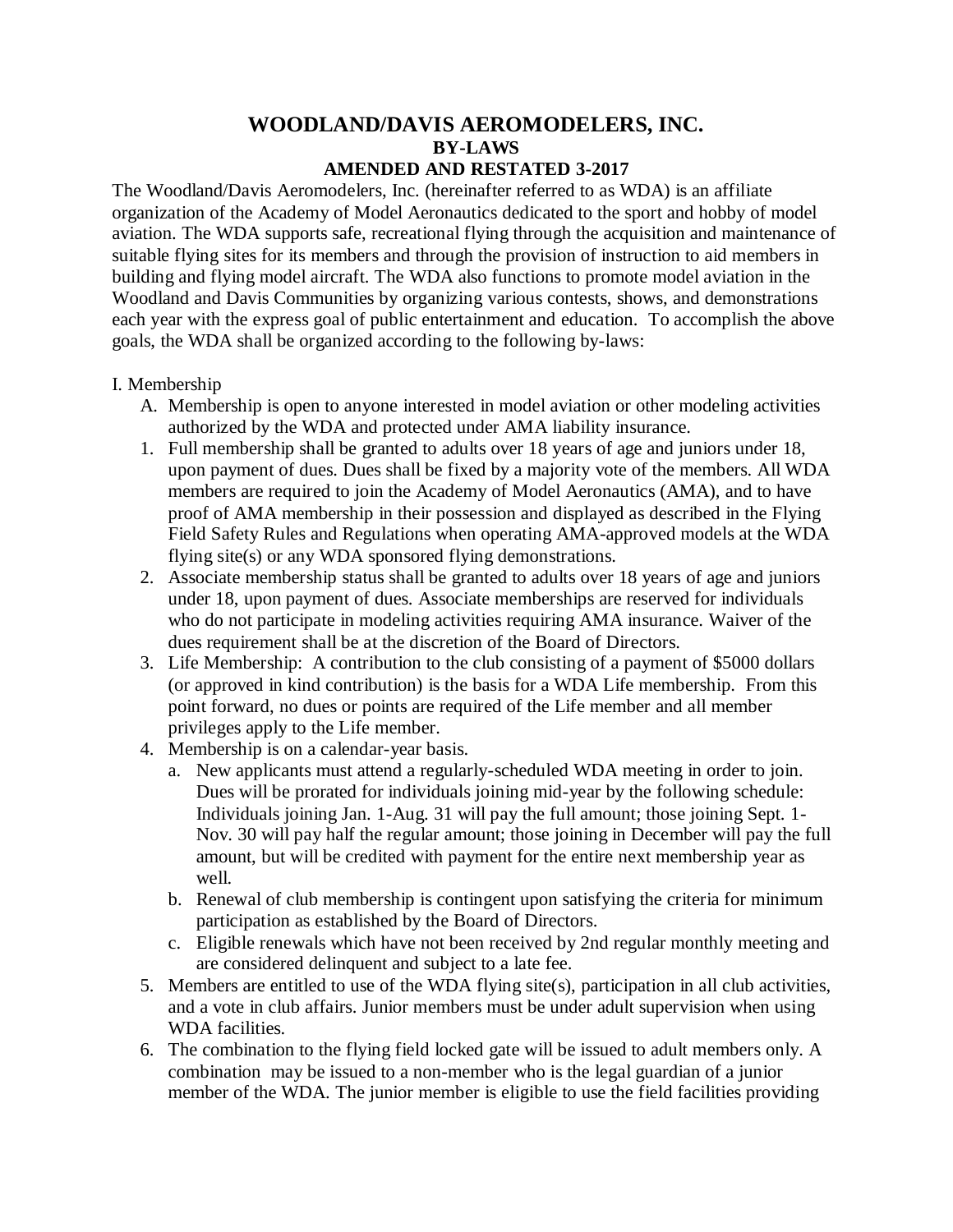## **WOODLAND/DAVIS AEROMODELERS, INC. BY-LAWS AMENDED AND RESTATED 3-2017**

The Woodland/Davis Aeromodelers, Inc. (hereinafter referred to as WDA) is an affiliate organization of the Academy of Model Aeronautics dedicated to the sport and hobby of model aviation. The WDA supports safe, recreational flying through the acquisition and maintenance of suitable flying sites for its members and through the provision of instruction to aid members in building and flying model aircraft. The WDA also functions to promote model aviation in the Woodland and Davis Communities by organizing various contests, shows, and demonstrations each year with the express goal of public entertainment and education. To accomplish the above goals, the WDA shall be organized according to the following by-laws:

## I. Membership

- A. Membership is open to anyone interested in model aviation or other modeling activities authorized by the WDA and protected under AMA liability insurance.
- 1. Full membership shall be granted to adults over 18 years of age and juniors under 18, upon payment of dues. Dues shall be fixed by a majority vote of the members. All WDA members are required to join the Academy of Model Aeronautics (AMA), and to have proof of AMA membership in their possession and displayed as described in the Flying Field Safety Rules and Regulations when operating AMA-approved models at the WDA flying site(s) or any WDA sponsored flying demonstrations.
- 2. Associate membership status shall be granted to adults over 18 years of age and juniors under 18, upon payment of dues. Associate memberships are reserved for individuals who do not participate in modeling activities requiring AMA insurance. Waiver of the dues requirement shall be at the discretion of the Board of Directors.
- 3. Life Membership: A contribution to the club consisting of a payment of \$5000 dollars (or approved in kind contribution) is the basis for a WDA Life membership. From this point forward, no dues or points are required of the Life member and all member privileges apply to the Life member.
- 4. Membership is on a calendar-year basis.
	- a. New applicants must attend a regularly-scheduled WDA meeting in order to join. Dues will be prorated for individuals joining mid-year by the following schedule: Individuals joining Jan. 1-Aug. 31 will pay the full amount; those joining Sept. 1- Nov. 30 will pay half the regular amount; those joining in December will pay the full amount, but will be credited with payment for the entire next membership year as well.
	- b. Renewal of club membership is contingent upon satisfying the criteria for minimum participation as established by the Board of Directors.
	- c. Eligible renewals which have not been received by 2nd regular monthly meeting and are considered delinquent and subject to a late fee.
- 5. Members are entitled to use of the WDA flying site(s), participation in all club activities, and a vote in club affairs. Junior members must be under adult supervision when using WDA facilities.
- 6. The combination to the flying field locked gate will be issued to adult members only. A combination may be issued to a non-member who is the legal guardian of a junior member of the WDA. The junior member is eligible to use the field facilities providing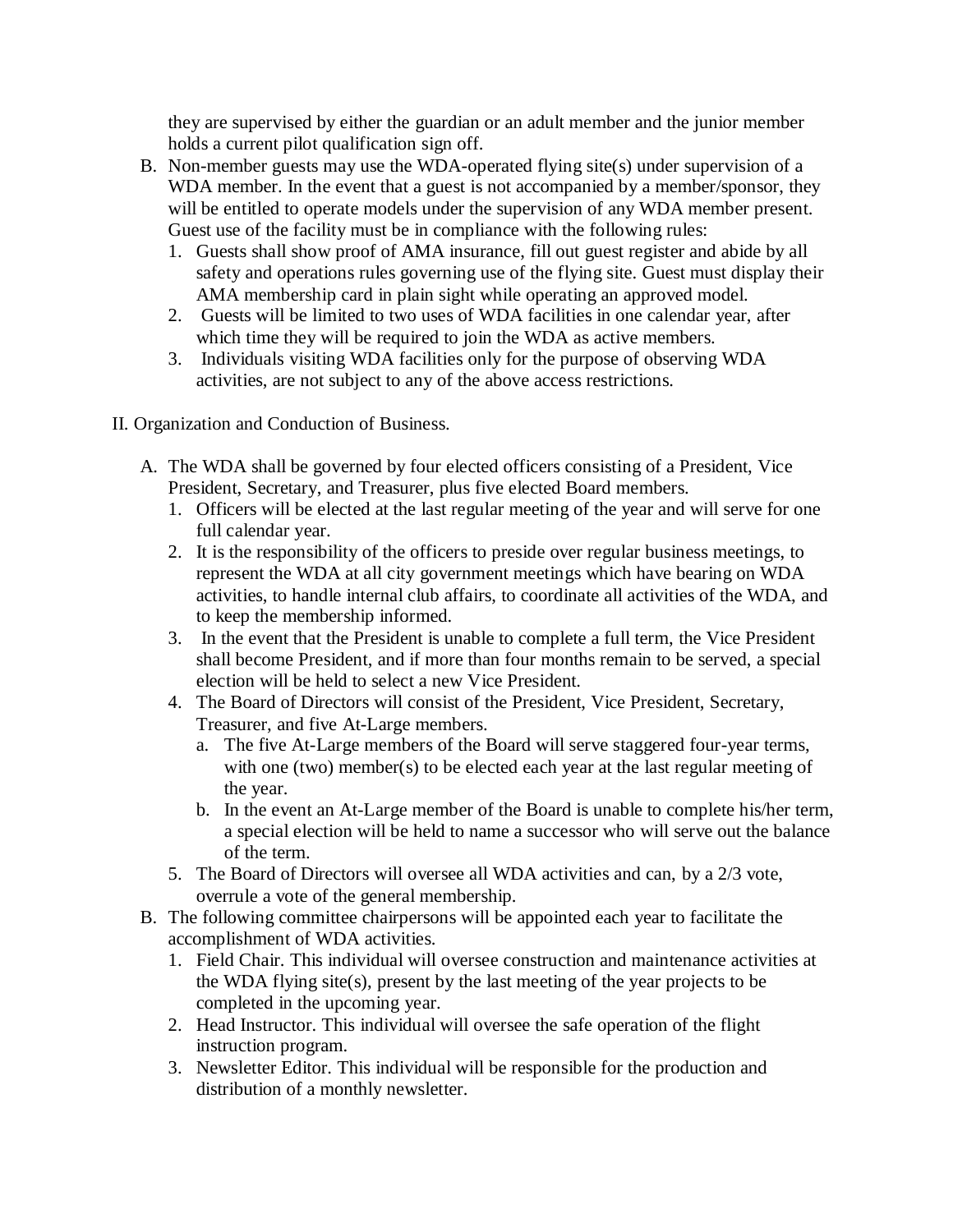they are supervised by either the guardian or an adult member and the junior member holds a current pilot qualification sign off.

- B. Non-member guests may use the WDA-operated flying site(s) under supervision of a WDA member. In the event that a guest is not accompanied by a member/sponsor, they will be entitled to operate models under the supervision of any WDA member present. Guest use of the facility must be in compliance with the following rules:
	- 1. Guests shall show proof of AMA insurance, fill out guest register and abide by all safety and operations rules governing use of the flying site. Guest must display their AMA membership card in plain sight while operating an approved model.
	- 2. Guests will be limited to two uses of WDA facilities in one calendar year, after which time they will be required to join the WDA as active members.
	- 3. Individuals visiting WDA facilities only for the purpose of observing WDA activities, are not subject to any of the above access restrictions.

II. Organization and Conduction of Business.

- A. The WDA shall be governed by four elected officers consisting of a President, Vice President, Secretary, and Treasurer, plus five elected Board members.
	- 1. Officers will be elected at the last regular meeting of the year and will serve for one full calendar year.
	- 2. It is the responsibility of the officers to preside over regular business meetings, to represent the WDA at all city government meetings which have bearing on WDA activities, to handle internal club affairs, to coordinate all activities of the WDA, and to keep the membership informed.
	- 3. In the event that the President is unable to complete a full term, the Vice President shall become President, and if more than four months remain to be served, a special election will be held to select a new Vice President.
	- 4. The Board of Directors will consist of the President, Vice President, Secretary, Treasurer, and five At-Large members.
		- a. The five At-Large members of the Board will serve staggered four-year terms, with one (two) member(s) to be elected each year at the last regular meeting of the year.
		- b. In the event an At-Large member of the Board is unable to complete his/her term, a special election will be held to name a successor who will serve out the balance of the term.
	- 5. The Board of Directors will oversee all WDA activities and can, by a 2/3 vote, overrule a vote of the general membership.
- B. The following committee chairpersons will be appointed each year to facilitate the accomplishment of WDA activities.
	- 1. Field Chair. This individual will oversee construction and maintenance activities at the WDA flying site(s), present by the last meeting of the year projects to be completed in the upcoming year.
	- 2. Head Instructor. This individual will oversee the safe operation of the flight instruction program.
	- 3. Newsletter Editor. This individual will be responsible for the production and distribution of a monthly newsletter.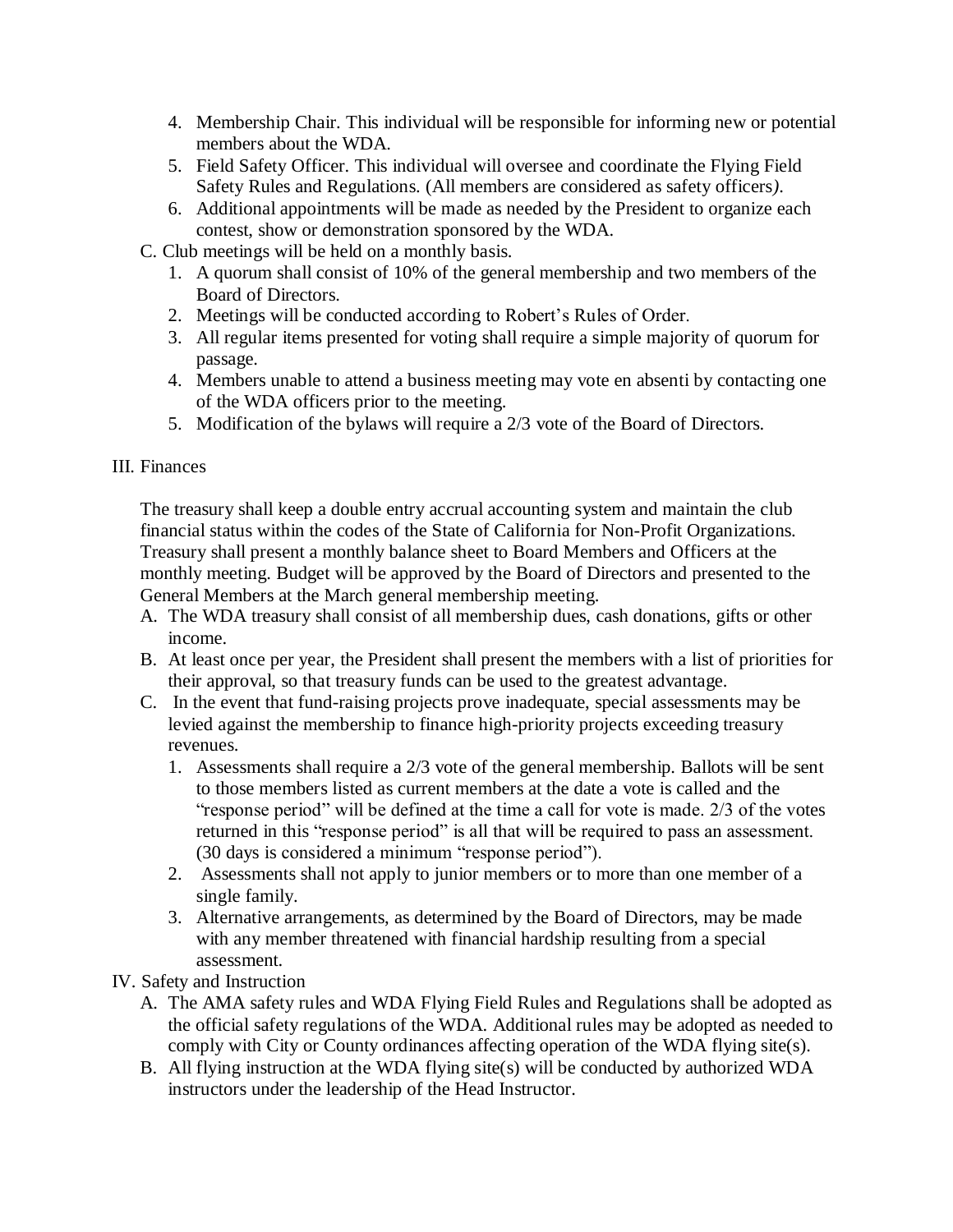- 4. Membership Chair. This individual will be responsible for informing new or potential members about the WDA.
- 5. Field Safety Officer. This individual will oversee and coordinate the Flying Field Safety Rules and Regulations. (All members are considered as safety officers*)*.
- 6. Additional appointments will be made as needed by the President to organize each contest, show or demonstration sponsored by the WDA.

C. Club meetings will be held on a monthly basis.

- 1. A quorum shall consist of 10% of the general membership and two members of the Board of Directors.
- 2. Meetings will be conducted according to Robert's Rules of Order.
- 3. All regular items presented for voting shall require a simple majority of quorum for passage.
- 4. Members unable to attend a business meeting may vote en absenti by contacting one of the WDA officers prior to the meeting.
- 5. Modification of the bylaws will require a 2/3 vote of the Board of Directors.

## III. Finances

The treasury shall keep a double entry accrual accounting system and maintain the club financial status within the codes of the State of California for Non-Profit Organizations. Treasury shall present a monthly balance sheet to Board Members and Officers at the monthly meeting. Budget will be approved by the Board of Directors and presented to the General Members at the March general membership meeting.

- A. The WDA treasury shall consist of all membership dues, cash donations, gifts or other income.
- B. At least once per year, the President shall present the members with a list of priorities for their approval, so that treasury funds can be used to the greatest advantage.
- C. In the event that fund-raising projects prove inadequate, special assessments may be levied against the membership to finance high-priority projects exceeding treasury revenues.
	- 1. Assessments shall require a 2/3 vote of the general membership. Ballots will be sent to those members listed as current members at the date a vote is called and the "response period" will be defined at the time a call for vote is made. 2/3 of the votes returned in this "response period" is all that will be required to pass an assessment. (30 days is considered a minimum "response period").
	- 2. Assessments shall not apply to junior members or to more than one member of a single family.
	- 3. Alternative arrangements, as determined by the Board of Directors, may be made with any member threatened with financial hardship resulting from a special assessment.

## IV. Safety and Instruction

- A. The AMA safety rules and WDA Flying Field Rules and Regulations shall be adopted as the official safety regulations of the WDA. Additional rules may be adopted as needed to comply with City or County ordinances affecting operation of the WDA flying site(s).
- B. All flying instruction at the WDA flying site(s) will be conducted by authorized WDA instructors under the leadership of the Head Instructor.